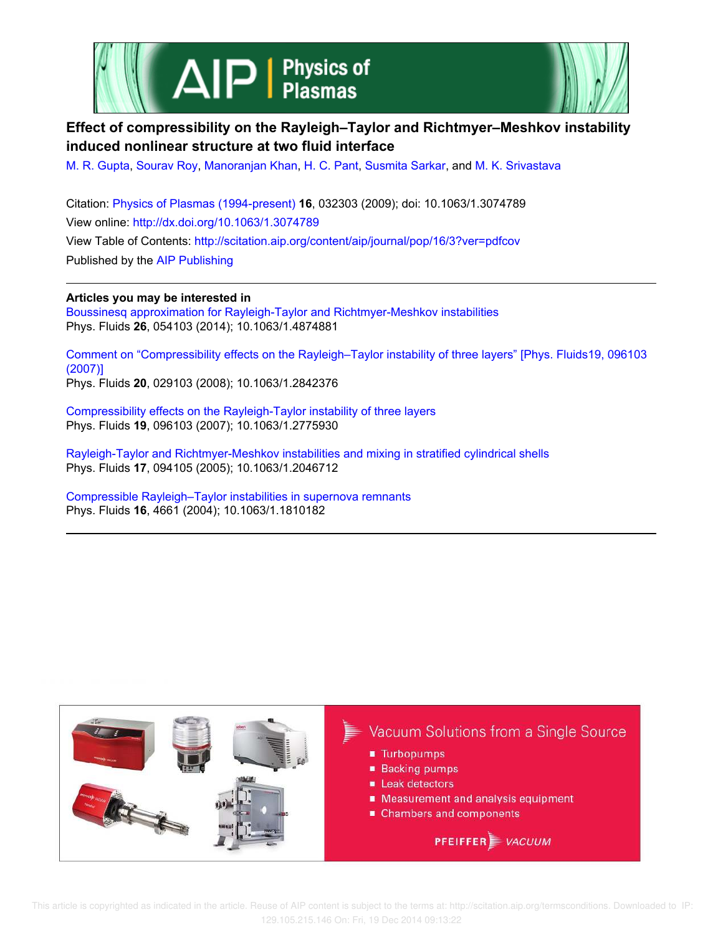



# **Effect of compressibility on the Rayleigh–Taylor and Richtmyer–Meshkov instability induced nonlinear structure at two fluid interface**

M. R. Gupta, Sourav Roy, Manoranjan Khan, H. C. Pant, Susmita Sarkar, and M. K. Srivastava

Citation: Physics of Plasmas (1994-present) **16**, 032303 (2009); doi: 10.1063/1.3074789 View online: http://dx.doi.org/10.1063/1.3074789 View Table of Contents: http://scitation.aip.org/content/aip/journal/pop/16/3?ver=pdfcov Published by the AIP Publishing

**Articles you may be interested in** Boussinesq approximation for Rayleigh-Taylor and Richtmyer-Meshkov instabilities Phys. Fluids **26**, 054103 (2014); 10.1063/1.4874881

Comment on "Compressibility effects on the Rayleigh–Taylor instability of three layers" [Phys. Fluids19, 096103 (2007)] Phys. Fluids **20**, 029103 (2008); 10.1063/1.2842376

Compressibility effects on the Rayleigh-Taylor instability of three layers Phys. Fluids **19**, 096103 (2007); 10.1063/1.2775930

Rayleigh-Taylor and Richtmyer-Meshkov instabilities and mixing in stratified cylindrical shells Phys. Fluids **17**, 094105 (2005); 10.1063/1.2046712

Compressible Rayleigh–Taylor instabilities in supernova remnants Phys. Fluids **16**, 4661 (2004); 10.1063/1.1810182

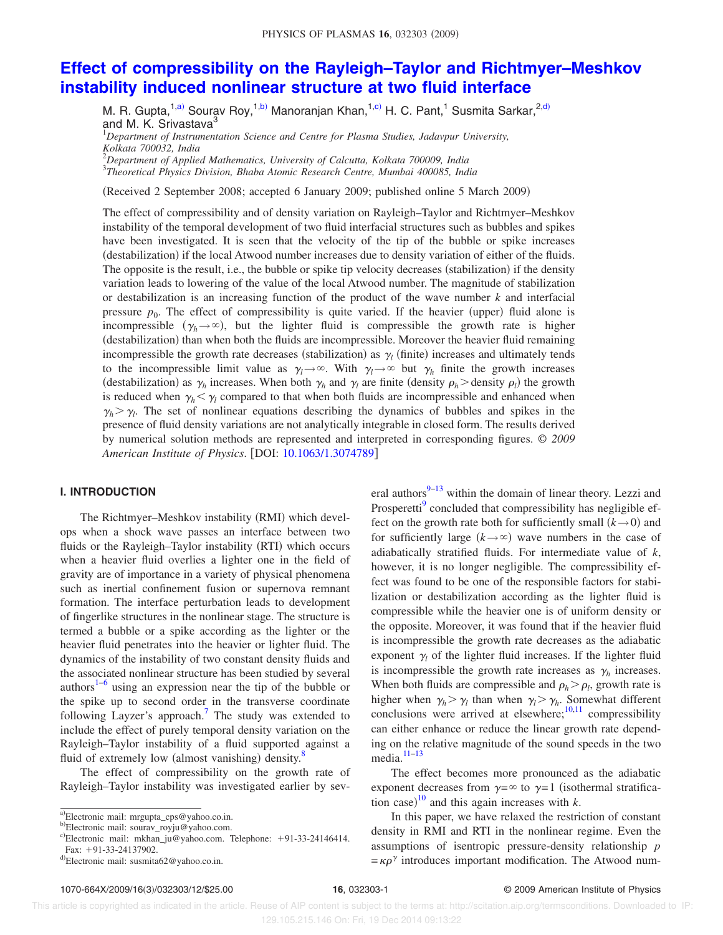# **Effect of compressibility on the Rayleigh–Taylor and Richtmyer–Meshkov instability induced nonlinear structure at two fluid interface**

M. R. Gupta,<sup>1,a)</sup> Sourav Roy,<sup>1,b)</sup> Manoranjan Khan,<sup>1,c)</sup> H. C. Pant,<sup>1</sup> Susmita Sarkar,<sup>2,d)</sup> and M. K. Srivastava<sup>3</sup>

<sup>1</sup>*Department of Instrumentation Science and Centre for Plasma Studies, Jadavpur University, Kolkata 700032, India*

<sup>2</sup>*Department of Applied Mathematics, University of Calcutta, Kolkata 700009, India*

3 *Theoretical Physics Division, Bhaba Atomic Research Centre, Mumbai 400085, India*

(Received 2 September 2008; accepted 6 January 2009; published online 5 March 2009)

The effect of compressibility and of density variation on Rayleigh–Taylor and Richtmyer–Meshkov instability of the temporal development of two fluid interfacial structures such as bubbles and spikes have been investigated. It is seen that the velocity of the tip of the bubble or spike increases (destabilization) if the local Atwood number increases due to density variation of either of the fluids. The opposite is the result, i.e., the bubble or spike tip velocity decreases (stabilization) if the density variation leads to lowering of the value of the local Atwood number. The magnitude of stabilization or destabilization is an increasing function of the product of the wave number *k* and interfacial pressure  $p_0$ . The effect of compressibility is quite varied. If the heavier (upper) fluid alone is incompressible  $(\gamma_h \rightarrow \infty)$ , but the lighter fluid is compressible the growth rate is higher (destabilization) than when both the fluids are incompressible. Moreover the heavier fluid remaining incompressible the growth rate decreases (stabilization) as  $\gamma_l$  (finite) increases and ultimately tends to the incompressible limit value as  $\gamma_l \rightarrow \infty$ . With  $\gamma_l \rightarrow \infty$  but  $\gamma_h$  finite the growth increases (destabilization) as  $\gamma_h$  increases. When both  $\gamma_h$  and  $\gamma_l$  are finite (density  $\rho_h$  > density  $\rho_l$ ) the growth is reduced when  $\gamma_h < \gamma_l$  compared to that when both fluids are incompressible and enhanced when  $\gamma_h > \gamma_l$ . The set of nonlinear equations describing the dynamics of bubbles and spikes in the presence of fluid density variations are not analytically integrable in closed form. The results derived by numerical solution methods are represented and interpreted in corresponding figures. © *2009 American Institute of Physics*. DOI: 10.1063/1.3074789

## **I. INTRODUCTION**

The Richtmyer–Meshkov instability (RMI) which develops when a shock wave passes an interface between two fluids or the Rayleigh-Taylor instability (RTI) which occurs when a heavier fluid overlies a lighter one in the field of gravity are of importance in a variety of physical phenomena such as inertial confinement fusion or supernova remnant formation. The interface perturbation leads to development of fingerlike structures in the nonlinear stage. The structure is termed a bubble or a spike according as the lighter or the heavier fluid penetrates into the heavier or lighter fluid. The dynamics of the instability of two constant density fluids and the associated nonlinear structure has been studied by several authors<sup>1–6</sup> using an expression near the tip of the bubble or the spike up to second order in the transverse coordinate following Layzer's approach.<sup>7</sup> The study was extended to include the effect of purely temporal density variation on the Rayleigh–Taylor instability of a fluid supported against a fluid of extremely low (almost vanishing) density.<sup>8</sup>

The effect of compressibility on the growth rate of Rayleigh–Taylor instability was investigated earlier by several authors $9-13$  within the domain of linear theory. Lezzi and Prosperetti<sup>9</sup> concluded that compressibility has negligible effect on the growth rate both for sufficiently small  $(k\rightarrow 0)$  and for sufficiently large  $(k \rightarrow \infty)$  wave numbers in the case of adiabatically stratified fluids. For intermediate value of *k*, however, it is no longer negligible. The compressibility effect was found to be one of the responsible factors for stabilization or destabilization according as the lighter fluid is compressible while the heavier one is of uniform density or the opposite. Moreover, it was found that if the heavier fluid is incompressible the growth rate decreases as the adiabatic exponent  $\gamma_l$  of the lighter fluid increases. If the lighter fluid is incompressible the growth rate increases as  $\gamma_h$  increases. When both fluids are compressible and  $\rho_h > \rho_l$ , growth rate is higher when  $\gamma_h > \gamma_l$  than when  $\gamma_l > \gamma_h$ . Somewhat different conclusions were arrived at elsewhere; $10,11$  compressibility can either enhance or reduce the linear growth rate depending on the relative magnitude of the sound speeds in the two media. $11-13$ 

The effect becomes more pronounced as the adiabatic exponent decreases from  $\gamma = \infty$  to  $\gamma = 1$  (isothermal stratification case)<sup>10</sup> and this again increases with  $k$ .

In this paper, we have relaxed the restriction of constant density in RMI and RTI in the nonlinear regime. Even the assumptions of isentropic pressure-density relationship *p*  $= \kappa \rho^{\gamma}$  introduces important modification. The Atwood num-

a)Electronic mail: mrgupta\_cps@yahoo.co.in.

b)Electronic mail: sourav\_royju@yahoo.com.

c)Electronic mail: mkhan\_ju@yahoo.com. Telephone: +91-33-24146414. Fax: +91-33-24137902.

<sup>&</sup>lt;sup>d)</sup>Electronic mail: susmita62@yahoo.co.in.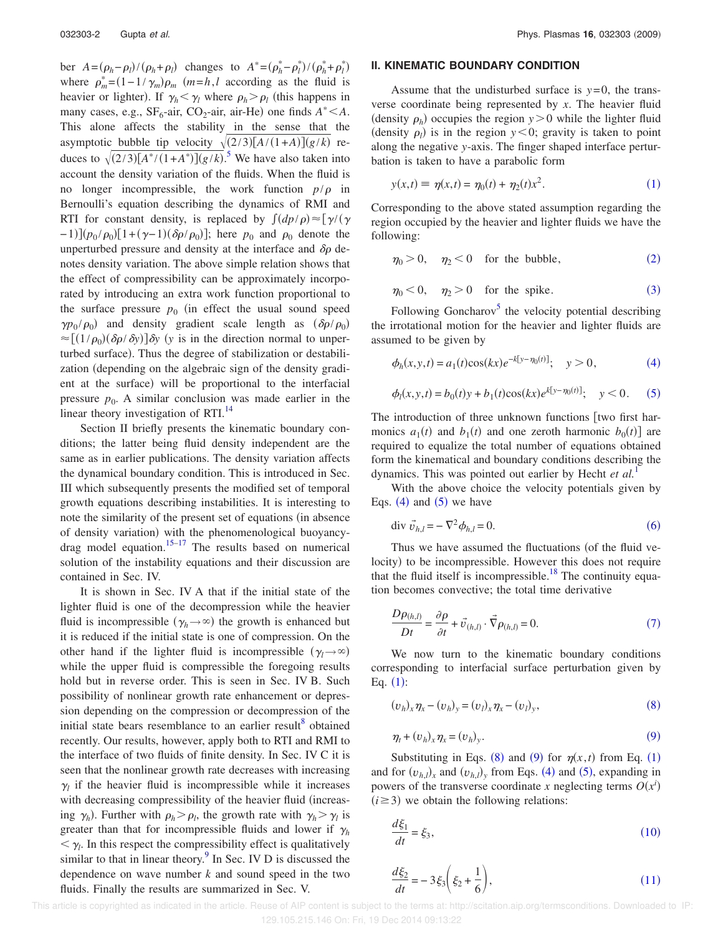ber  $A = (\rho_h - \rho_l) / (\rho_h + \rho_l)$  changes to  $A^* = (\rho_h^* - \rho_l^*) / (\rho_h^* + \rho_l^*)$ where  $\rho_m^* = (1 - 1/\gamma_m)\rho_m$   $(m = h, l$  according as the fluid is heavier or lighter). If  $\gamma_h < \gamma_l$  where  $\rho_h > \rho_l$  (this happens in many cases, e.g.,  $SF_6$ -air,  $CO_2$ -air, air-He) one finds  $A^* < A$ . This alone affects the stability in the sense that the asymptotic bubble tip velocity  $\sqrt{(2/3)[A/(1+A)](g/k)}$  reduces to  $\sqrt{(2/3)[A^*/(1+A^*)](g/k)}$ .<sup>5</sup> We have also taken into account the density variation of the fluids. When the fluid is no longer incompressible, the work function  $p/\rho$  in Bernoulli's equation describing the dynamics of RMI and RTI for constant density, is replaced by  $\int (dp/\rho) \approx [\gamma/(\gamma$  $-1$ ] $(p_0/\rho_0)[1+(\gamma-1)(\delta\rho/\rho_0)]$ ; here  $p_0$  and  $\rho_0$  denote the unperturbed pressure and density at the interface and  $\delta \rho$  denotes density variation. The above simple relation shows that the effect of compressibility can be approximately incorporated by introducing an extra work function proportional to the surface pressure  $p_0$  (in effect the usual sound speed  $\gamma p_0 / \rho_0$ ) and density gradient scale length as  $(\delta \rho / \rho_0)$  $\approx$   $[(1/\rho_0)(\delta\rho/\delta y)]\delta y$  (*y* is in the direction normal to unperturbed surface). Thus the degree of stabilization or destabilization depending on the algebraic sign of the density gradient at the surface) will be proportional to the interfacial pressure  $p_0$ . A similar conclusion was made earlier in the linear theory investigation of  $RTI$ .<sup>14</sup>

Section II briefly presents the kinematic boundary conditions; the latter being fluid density independent are the same as in earlier publications. The density variation affects the dynamical boundary condition. This is introduced in Sec. III which subsequently presents the modified set of temporal growth equations describing instabilities. It is interesting to note the similarity of the present set of equations (in absence of density variation) with the phenomenological buoyancydrag model equation.<sup>15–17</sup> The results based on numerical solution of the instability equations and their discussion are contained in Sec. IV.

It is shown in Sec. IV A that if the initial state of the lighter fluid is one of the decompression while the heavier fluid is incompressible  $(\gamma_h \rightarrow \infty)$  the growth is enhanced but it is reduced if the initial state is one of compression. On the other hand if the lighter fluid is incompressible  $(\gamma_l \rightarrow \infty)$ while the upper fluid is compressible the foregoing results hold but in reverse order. This is seen in Sec. IV B. Such possibility of nonlinear growth rate enhancement or depression depending on the compression or decompression of the initial state bears resemblance to an earlier result<sup>8</sup> obtained recently. Our results, however, apply both to RTI and RMI to the interface of two fluids of finite density. In Sec. IV C it is seen that the nonlinear growth rate decreases with increasing  $\gamma$  if the heavier fluid is incompressible while it increases with decreasing compressibility of the heavier fluid (increasing  $\gamma_h$ ). Further with  $\rho_h > \rho_l$ , the growth rate with  $\gamma_h > \gamma_l$  is greater than that for incompressible fluids and lower if  $\gamma_h$  $\langle \gamma_l$ . In this respect the compressibility effect is qualitatively similar to that in linear theory.<sup>9</sup> In Sec. IV D is discussed the dependence on wave number *k* and sound speed in the two fluids. Finally the results are summarized in Sec. V.

### **II. KINEMATIC BOUNDARY CONDITION**

Assume that the undisturbed surface is  $y=0$ , the transverse coordinate being represented by *x*. The heavier fluid (density  $\rho_h$ ) occupies the region  $y > 0$  while the lighter fluid (density  $\rho_l$ ) is in the region  $y < 0$ ; gravity is taken to point along the negative *y*-axis. The finger shaped interface perturbation is taken to have a parabolic form

$$
y(x,t) \equiv \eta(x,t) = \eta_0(t) + \eta_2(t)x^2.
$$
 (1)

Corresponding to the above stated assumption regarding the region occupied by the heavier and lighter fluids we have the following:

$$
\eta_0 > 0, \quad \eta_2 < 0 \quad \text{for the bubble}, \tag{2}
$$

$$
\eta_0 < 0, \quad \eta_2 > 0 \quad \text{for the spike.} \tag{3}
$$

Following Goncharov<sup>5</sup> the velocity potential describing the irrotational motion for the heavier and lighter fluids are assumed to be given by

$$
\phi_h(x, y, t) = a_1(t)\cos(kx)e^{-k[y-\eta_0(t)]}; \quad y > 0,
$$
\n(4)

$$
\phi_l(x, y, t) = b_0(t)y + b_1(t)\cos(kx)e^{k[y - \eta_0(t)]}; \quad y < 0. \tag{5}
$$

The introduction of three unknown functions two first harmonics  $a_1(t)$  and  $b_1(t)$  and one zeroth harmonic  $b_0(t)$  are required to equalize the total number of equations obtained form the kinematical and boundary conditions describing the dynamics. This was pointed out earlier by Hecht *et al.*<sup>1</sup>

With the above choice the velocity potentials given by Eqs.  $(4)$  and  $(5)$  we have

$$
\text{div } \vec{v}_{h,l} = -\nabla^2 \phi_{h,l} = 0. \tag{6}
$$

Thus we have assumed the fluctuations (of the fluid velocity) to be incompressible. However this does not require that the fluid itself is incompressible.<sup>18</sup> The continuity equation becomes convective; the total time derivative

$$
\frac{D\rho_{(h,l)}}{Dt} = \frac{\partial \rho}{\partial t} + \vec{v}_{(h,l)} \cdot \vec{\nabla} \rho_{(h,l)} = 0.
$$
 (7)

We now turn to the kinematic boundary conditions corresponding to interfacial surface perturbation given by Eq.  $(1)$ :

$$
(v_h)_x \eta_x - (v_h)_y = (v_l)_x \eta_x - (v_l)_y, \tag{8}
$$

$$
\eta_t + (v_h)_x \eta_x = (v_h)_y. \tag{9}
$$

Substituting in Eqs. (8) and (9) for  $\eta(x,t)$  from Eq. (1) and for  $(v_{h,l})_x$  and  $(v_{h,l})_y$  from Eqs. (4) and (5), expanding in powers of the transverse coordinate *x* neglecting terms  $O(x^i)$  $(i \geq 3)$  we obtain the following relations:

$$
\frac{d\xi_1}{dt} = \xi_3,\tag{10}
$$

$$
\frac{d\xi_2}{dt} = -3\xi_3 \bigg(\xi_2 + \frac{1}{6}\bigg),\tag{11}
$$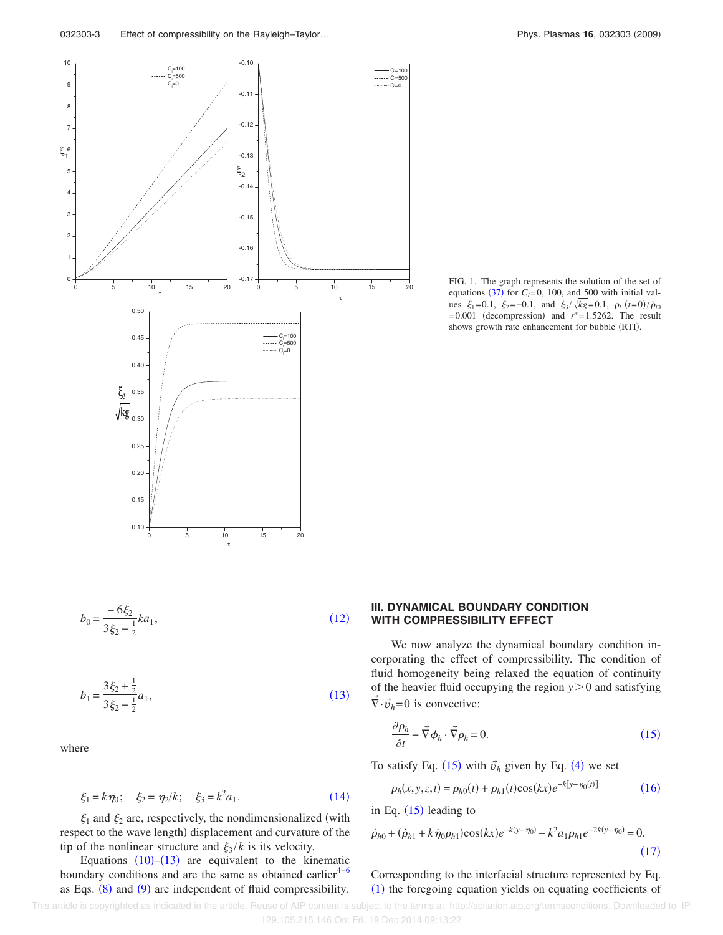

FIG. 1. The graph represents the solution of the set of equations (37) for  $C_l$ =0, 100, and 500 with initial values  $\xi_1 = 0.1$ ,  $\xi_2 = -0.1$ , and  $\xi_3 / \sqrt{kg} = 0.1$ ,  $\rho_{11}(t=0) / \tilde{\rho}_{10}$  $= 0.001$  (decompression) and  $r^* = 1.5262$ . The result shows growth rate enhancement for bubble (RTI).

$$
b_0 = \frac{-6\xi_2}{3\xi_2 - \frac{1}{2}}ka_1,
$$
\n(12)

$$
b_1 = \frac{3\xi_2 + \frac{1}{2}}{3\xi_2 - \frac{1}{2}}a_1,\tag{13}
$$

where

$$
\xi_1 = k \eta_0; \quad \xi_2 = \eta_2 / k; \quad \xi_3 = k^2 a_1.
$$
 (14)

 $\xi_1$  and  $\xi_2$  are, respectively, the nondimensionalized (with respect to the wave length) displacement and curvature of the tip of the nonlinear structure and  $\xi_3/k$  is its velocity.

Equations  $(10)$ – $(13)$  are equivalent to the kinematic boundary conditions and are the same as obtained earlier<sup> $4-6$ </sup> as Eqs.  $(8)$  and  $(9)$  are independent of fluid compressibility.

# **III. DYNAMICAL BOUNDARY CONDITION WITH COMPRESSIBILITY EFFECT**

We now analyze the dynamical boundary condition incorporating the effect of compressibility. The condition of fluid homogeneity being relaxed the equation of continuity of the heavier fluid occupying the region  $y > 0$  and satisfying  $\vec{\nabla} \cdot \vec{v}_h = 0$  is convective:

$$
\frac{\partial \rho_h}{\partial t} - \vec{\nabla} \phi_h \cdot \vec{\nabla} \rho_h = 0.
$$
 (15)

To satisfy Eq.  $(15)$  with  $\vec{v}_h$  given by Eq.  $(4)$  we set

$$
\rho_h(x, y, z, t) = \rho_{h0}(t) + \rho_{h1}(t)\cos(kx)e^{-k[y-\eta_0(t)]}
$$
\n(16)

in Eq.  $(15)$  leading to

$$
\dot{\rho}_{h0} + (\dot{\rho}_{h1} + k \dot{\eta}_0 \rho_{h1}) \cos(kx) e^{-k(y - \eta_0)} - k^2 a_1 \rho_{h1} e^{-2k(y - \eta_0)} = 0.
$$
\n(17)

Corresponding to the interfacial structure represented by Eq. (1) the foregoing equation yields on equating coefficients of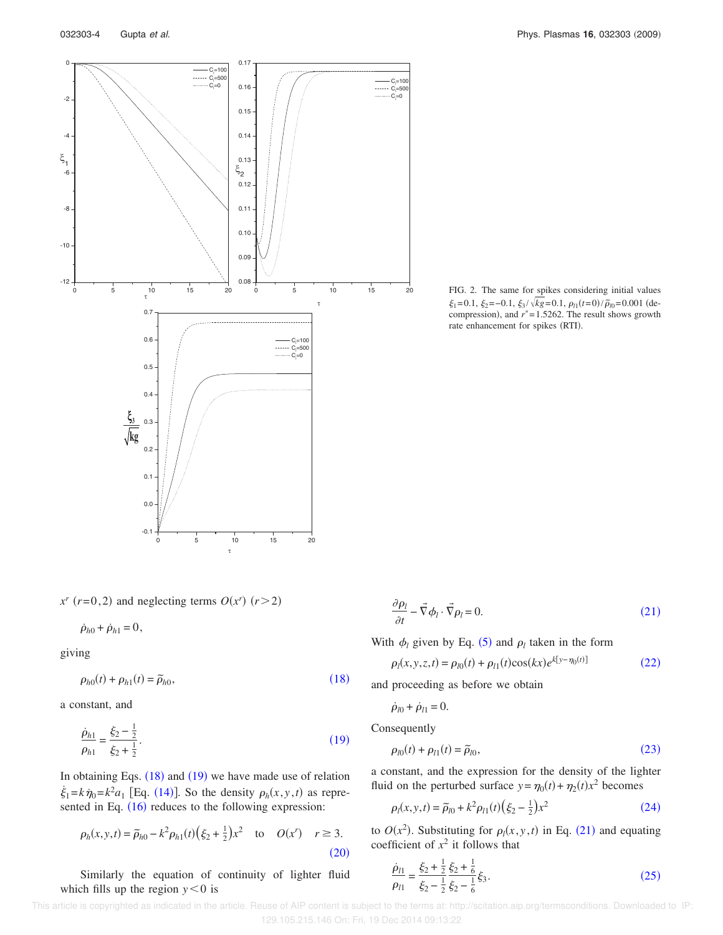

FIG. 2. The same for spikes considering initial values  $\xi_1 = 0.1, \xi_2 = -0.1, \xi_3/\sqrt{kg} = 0.1, \rho_{11}(t=0)/\tilde{\rho}_{10} = 0.001$  (decompression), and  $r^* = 1.5262$ . The result shows growth rate enhancement for spikes (RTI).

 $x^r$  (*r*=0,2) and neglecting terms *O*(*x<sup>r</sup>*) (*r*>2)

$$
\dot{\rho}_{h0} + \dot{\rho}_{h1} = 0,
$$

giving

$$
\rho_{h0}(t) + \rho_{h1}(t) = \tilde{\rho}_{h0},\tag{18}
$$

a constant, and

$$
\frac{\dot{\rho}_{h1}}{\rho_{h1}} = \frac{\xi_2 - \frac{1}{2}}{\xi_2 + \frac{1}{2}}.\tag{19}
$$

In obtaining Eqs.  $(18)$  and  $(19)$  we have made use of relation  $\dot{\xi}_1 = k\dot{\eta}_0 = k^2 a_1$  [Eq. (14)]. So the density  $\rho_h(x, y, t)$  as represented in Eq.  $(16)$  reduces to the following expression:

$$
\rho_h(x, y, t) = \tilde{\rho}_{h0} - k^2 \rho_{h1}(t) \left(\xi_2 + \frac{1}{2}\right) x^2 \quad \text{to} \quad O(x^r) \quad r \ge 3. \tag{20}
$$

Similarly the equation of continuity of lighter fluid which fills up the region  $y < 0$  is

$$
\frac{\partial \rho_l}{\partial t} - \vec{\nabla} \phi_l \cdot \vec{\nabla} \rho_l = 0.
$$
 (21)

With  $\phi_l$  given by Eq. (5) and  $\rho_l$  taken in the form

$$
\rho_l(x, y, z, t) = \rho_{l0}(t) + \rho_{l1}(t)\cos(kx)e^{k[y - \eta_0(t)]}
$$
\n(22)

and proceeding as before we obtain

$$
\dot{\rho}_{l0} + \dot{\rho}_{l1} = 0.
$$

Consequently

$$
\rho_{l0}(t) + \rho_{l1}(t) = \tilde{\rho}_{l0},\qquad(23)
$$

a constant, and the expression for the density of the lighter fluid on the perturbed surface  $y = \eta_0(t) + \eta_2(t)x^2$  becomes

$$
\rho_l(x, y, t) = \tilde{\rho}_{l0} + k^2 \rho_{l1}(t) \left(\xi_2 - \frac{1}{2}\right) x^2 \tag{24}
$$

to  $O(x^2)$ . Substituting for  $\rho_l(x, y, t)$  in Eq. (21) and equating coefficient of  $x^2$  it follows that

$$
\frac{\dot{\rho}_{l1}}{\rho_{l1}} = \frac{\xi_2 + \frac{1}{2}}{\xi_2 - \frac{1}{2}} \frac{\xi_2 + \frac{1}{6}}{\xi_2 - \frac{1}{6}} \xi_3.
$$
\n(25)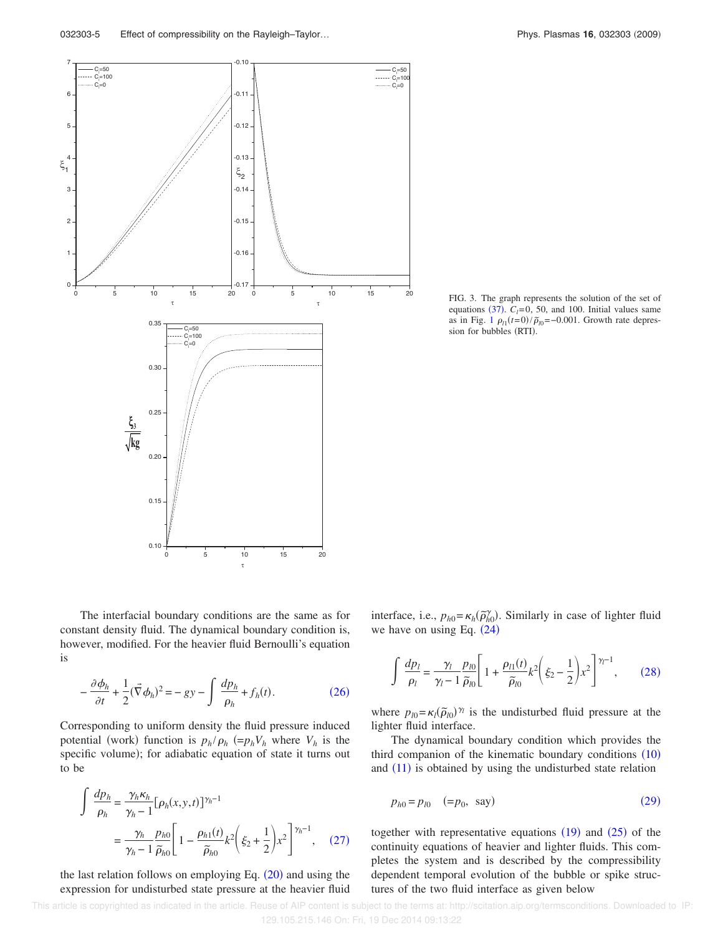

FIG. 3. The graph represents the solution of the set of equations  $(37)$ .  $C_l$ =0, 50, and 100. Initial values same as in Fig. 1  $\rho_{11}(t=0)/\tilde{\rho}_{10} = -0.001$ . Growth rate depression for bubbles (RTI).

The interfacial boundary conditions are the same as for constant density fluid. The dynamical boundary condition is, however, modified. For the heavier fluid Bernoulli's equation is

$$
-\frac{\partial \phi_h}{\partial t} + \frac{1}{2}(\vec{\nabla}\phi_h)^2 = -gy - \int \frac{dp_h}{\rho_h} + f_h(t).
$$
 (26)

Corresponding to uniform density the fluid pressure induced potential (work) function is  $p_h / \rho_h$  (= $p_h V_h$  where  $V_h$  is the specific volume); for adiabatic equation of state it turns out to be

$$
\int \frac{dp_h}{\rho_h} = \frac{\gamma_h \kappa_h}{\gamma_h - 1} [\rho_h(x, y, t)]^{\gamma_h - 1}
$$

$$
= \frac{\gamma_h}{\gamma_h - 1} \frac{p_{h0}}{\tilde{\rho}_{h0}} \left[ 1 - \frac{\rho_{h1}(t)}{\tilde{\rho}_{h0}} k^2 \left( \xi_2 + \frac{1}{2} \right) x^2 \right]^{\gamma_h - 1}, \quad (27)
$$

the last relation follows on employing Eq.  $(20)$  and using the expression for undisturbed state pressure at the heavier fluid interface, i.e.,  $p_{h0} = \kappa_h(\tilde{\rho}_{h0}^{\gamma})$ . Similarly in case of lighter fluid we have on using Eq.  $(24)$ 

$$
\int \frac{dp_l}{\rho_l} = \frac{\gamma_l}{\gamma_l - 1} \frac{p_{l0}}{\tilde{\rho}_{l0}} \left[ 1 + \frac{\rho_{l1}(t)}{\tilde{\rho}_{l0}} k^2 \left( \xi_2 - \frac{1}{2} \right) x^2 \right]^{\gamma_l - 1}, \qquad (28)
$$

where  $p_{l0} = \kappa_l (\tilde{\rho}_{l0})^{\gamma_l}$  is the undisturbed fluid pressure at the lighter fluid interface.

The dynamical boundary condition which provides the third companion of the kinematic boundary conditions  $(10)$ and  $(11)$  is obtained by using the undisturbed state relation

$$
p_{h0} = p_{l0} \quad (=p_0, \text{ say}) \tag{29}
$$

together with representative equations  $(19)$  and  $(25)$  of the continuity equations of heavier and lighter fluids. This completes the system and is described by the compressibility dependent temporal evolution of the bubble or spike structures of the two fluid interface as given below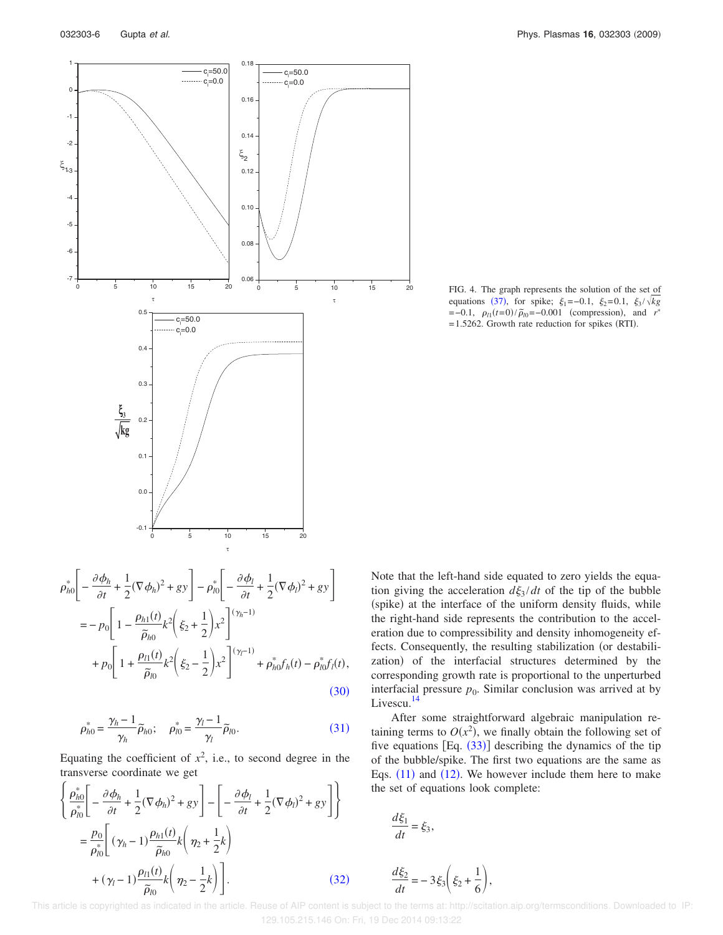

FIG. 4. The graph represents the solution of the set of equations (37), for spike;  $\xi_1 = -0.1$ ,  $\xi_2 = 0.1$ ,  $\xi_3 / \sqrt{kg}$  $=$  -0.1,  $\rho_{11}(t=0)/\tilde{\rho}_{10}$  = -0.001 (compression), and *r*<sup>\*</sup>  $= 1.5262$ . Growth rate reduction for spikes (RTI).



$$
\rho_{h0}^* = \frac{\gamma_h - 1}{\gamma_h} \widetilde{\rho}_{h0}; \quad \rho_{l0}^* = \frac{\gamma_l - 1}{\gamma_l} \widetilde{\rho}_{l0}.
$$
 (31)

Equating the coefficient of  $x^2$ , i.e., to second degree in the transverse coordinate we get

$$
\left\{\frac{\rho_{h0}^*}{\rho_{l0}^*}\left[-\frac{\partial\phi_h}{\partial t} + \frac{1}{2}(\nabla\phi_h)^2 + gy\right] - \left[-\frac{\partial\phi_l}{\partial t} + \frac{1}{2}(\nabla\phi_l)^2 + gy\right]\right\}
$$

$$
= \frac{p_0}{\rho_{l0}^*}\left[ (\gamma_h - 1)\frac{\rho_{h1}(t)}{\tilde{\rho}_{h0}} k\left(\eta_2 + \frac{1}{2}k\right) + (\gamma_l - 1)\frac{\rho_{l1}(t)}{\tilde{\rho}_{l0}} k\left(\eta_2 - \frac{1}{2}k\right) \right].
$$
 (32)

Note that the left-hand side equated to zero yields the equation giving the acceleration  $d\xi_3/dt$  of the tip of the bubble (spike) at the interface of the uniform density fluids, while the right-hand side represents the contribution to the acceleration due to compressibility and density inhomogeneity effects. Consequently, the resulting stabilization (or destabilization) of the interfacial structures determined by the corresponding growth rate is proportional to the unperturbed interfacial pressure  $p_0$ . Similar conclusion was arrived at by Livescu.<sup>14</sup>

After some straightforward algebraic manipulation retaining terms to  $O(x^2)$ , we finally obtain the following set of five equations  $[Eq. (33)]$  describing the dynamics of the tip of the bubble/spike. The first two equations are the same as Eqs.  $(11)$  and  $(12)$ . We however include them here to make the set of equations look complete:

$$
\frac{d\xi_1}{dt} = \xi_3,
$$

 $d\xi_2$  $\frac{d\xi_2}{dt}$  = -3 $\xi_3$   $\left(\xi_2 + \frac{1}{6}\right)$  $\frac{1}{6}$ ,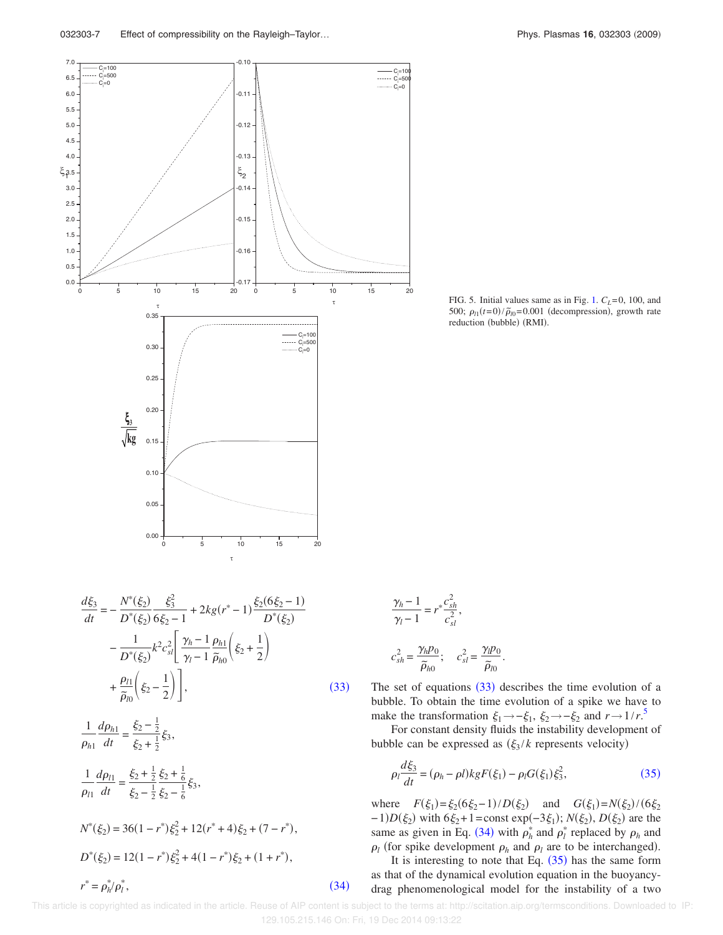$-0.12$ 

-0.11

-0.10

C<sub>l</sub> =100 c, =500 c,  $=0$ 

5.0 5.5 6.0 6.5 7.0

 $C = 100$  $C = 500$  $C = 0$ 





$$
\frac{\gamma_h - 1}{\gamma_l - 1} = r^* \frac{c_{sh}^2}{c_{sl}^2},
$$
  

$$
c_{sh}^2 = \frac{\gamma_h p_0}{\tilde{\rho}_{h0}}; \quad c_{sl}^2 = \frac{\gamma_l p_0}{\tilde{\rho}_{l0}}
$$

The set of equations  $(33)$  describes the time evolution of a bubble. To obtain the time evolution of a spike we have to make the transformation  $\xi_1 \rightarrow -\xi_1$ ,  $\xi_2 \rightarrow -\xi_2$  and  $r \rightarrow 1/r$ .<sup>5</sup>

.

For constant density fluids the instability development of bubble can be expressed as  $(\xi_3/k)$  represents velocity)

$$
\rho_l \frac{d\xi_3}{dt} = (\rho_h - \rho l) k g F(\xi_1) - \rho_l G(\xi_1) \xi_3^2,
$$
\n(35)

where  $F(\xi_1) = \xi_2 (6\xi_2 - 1)/D(\xi_2)$  and  $G(\xi_1) = N(\xi_2)/(6\xi_2)$  $-1$ ) $D(\xi_2)$  with  $6\xi_2+1$ =const exp(-3 $\xi_1$ );  $N(\xi_2)$ ,  $D(\xi_2)$  are the same as given in Eq. (34) with  $\rho_h^*$  and  $\rho_l^*$  replaced by  $\rho_h$  and  $\rho_l$  (for spike development  $\rho_h$  and  $\rho_l$  are to be interchanged).

It is interesting to note that Eq.  $(35)$  has the same form as that of the dynamical evolution equation in the buoyancydrag phenomenological model for the instability of a two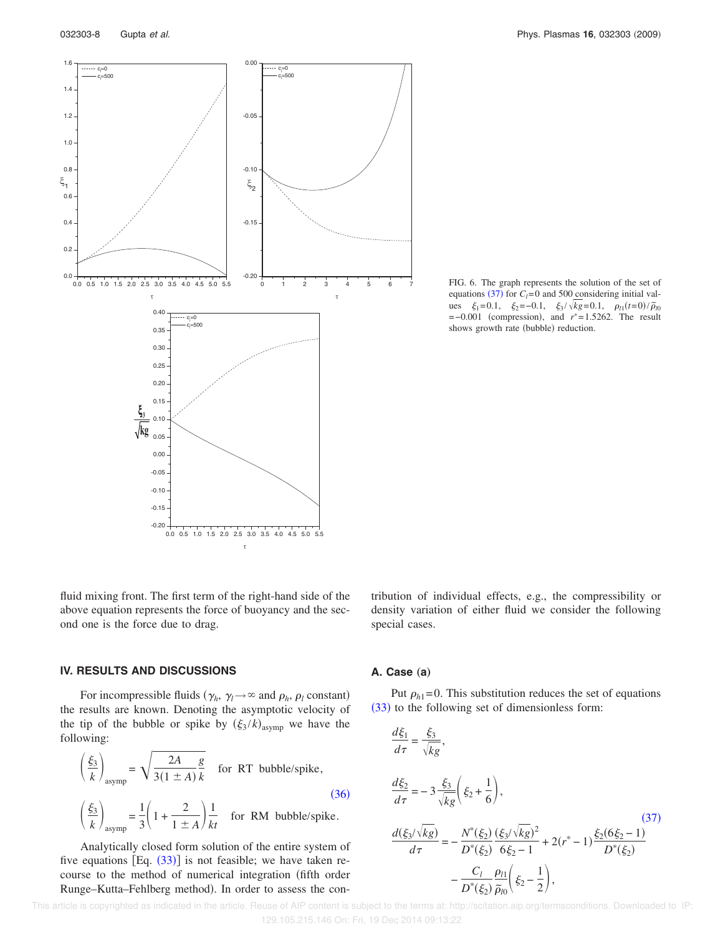

FIG. 6. The graph represents the solution of the set of equations (37) for  $C_l$ =0 and 500 considering initial values  $\xi_1 = 0.1$ ,  $\xi_2 = -0.1$ ,  $\xi_3 / \sqrt{kg} = 0.1$ ,  $\rho_{11}(t=0) / \tilde{\rho}_{10}$ = −0.001 (compression), and *r*<sup>\*</sup>=1.5262. The result shows growth rate (bubble) reduction.

fluid mixing front. The first term of the right-hand side of the above equation represents the force of buoyancy and the second one is the force due to drag.

tribution of individual effects, e.g., the compressibility or density variation of either fluid we consider the following special cases.

## **IV. RESULTS AND DISCUSSIONS**

For incompressible fluids  $(\gamma_h, \gamma_l \rightarrow \infty$  and  $\rho_h, \rho_l$  constant) the results are known. Denoting the asymptotic velocity of the tip of the bubble or spike by  $(\xi_3/k)_{\text{asymp}}$  we have the following:

$$
\left(\frac{\xi_3}{k}\right)_{\text{asymp}} = \sqrt{\frac{2A}{3(1 \pm A)}\frac{g}{k}}
$$
 for RT bubble/spike,  

$$
\left(\frac{\xi_3}{k}\right)_{\text{asymp}} = \frac{1}{3}\left(1 + \frac{2}{1 \pm A}\right)\frac{1}{kt}
$$
 for RM bubble/spike. (36)

Analytically closed form solution of the entire system of five equations  $[Eq. (33)]$  is not feasible; we have taken recourse to the method of numerical integration fifth order Runge–Kutta–Fehlberg method). In order to assess the con-

#### **A.** Case (a)

Put  $\rho_{h1}$ = 0. This substitution reduces the set of equations  $(33)$  to the following set of dimensionless form:

$$
\frac{d\xi_1}{d\tau} = \frac{\xi_3}{\sqrt{kg}},
$$
\n
$$
\frac{d\xi_2}{d\tau} = -3 \frac{\xi_3}{\sqrt{kg}} \left( \xi_2 + \frac{1}{6} \right),
$$
\n
$$
\frac{d(\xi_3/\sqrt{kg})}{d\tau} = -\frac{N^*(\xi_2)}{D^*(\xi_2)} \frac{(\xi_3/\sqrt{kg})^2}{6\xi_2 - 1} + 2(r^* - 1) \frac{\xi_2(6\xi_2 - 1)}{D^*(\xi_2)}
$$
\n
$$
-\frac{C_l}{D^*(\xi_2)} \frac{\rho_{l1}}{\tilde{\rho}_{l0}} \left( \xi_2 - \frac{1}{2} \right),
$$
\n(37)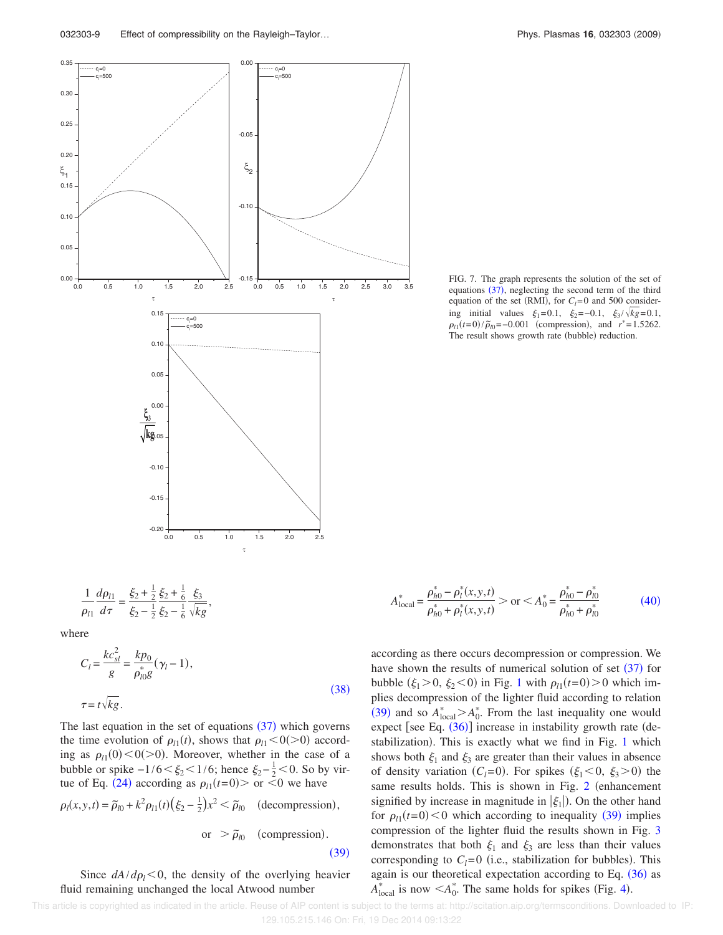

$$
\frac{1}{\rho_{l1}}\frac{d\rho_{l1}}{d\tau} = \frac{\xi_2 + \frac{1}{2}}{\xi_2 - \frac{1}{2}}\frac{\xi_2 + \frac{1}{6}}{\xi_2 - \frac{1}{6}}\frac{\xi_3}{\sqrt{kg}}
$$

where

$$
C_{l} = \frac{kc_{sl}^{2}}{g} = \frac{kp_{0}}{\rho_{l0}^{*}g}(\gamma_{l} - 1),
$$
  

$$
\tau = t\sqrt{kg}.
$$
 (38)

,

The last equation in the set of equations  $(37)$  which governs the time evolution of  $\rho_{l1}(t)$ , shows that  $\rho_{l1} < 0 (> 0)$  according as  $\rho_{11}(0) < 0(>0)$ . Moreover, whether in the case of a bubble or spike  $-1/6 < \xi_2 < 1/6$ ; hence  $\xi_2 - \frac{1}{2} < 0$ . So by virtue of Eq. (24) according as  $\rho_{l1}(t=0)$  or <0 we have

$$
\rho_l(x, y, t) = \tilde{\rho}_{l0} + k^2 \rho_{l1}(t) \left(\xi_2 - \frac{1}{2}\right) x^2 < \tilde{\rho}_{l0} \quad \text{(decompression)},
$$

or  $> \tilde{\rho}_{l0}$  (compression).

$$
(39)
$$

Since  $dA/d\rho_1 < 0$ , the density of the overlying heavier fluid remaining unchanged the local Atwood number

FIG. 7. The graph represents the solution of the set of equations  $(37)$ , neglecting the second term of the third equation of the set (RMI), for  $C_l = 0$  and 500 considering initial values  $\xi_1 = 0.1$ ,  $\xi_2 = -0.1$ ,  $\xi_3 / \sqrt{kg} = 0.1$ ,  $\rho_{l1}(t=0)/\tilde{\rho}_{l0} = -0.001$  (compression), and  $r^* = 1.5262$ . The result shows growth rate (bubble) reduction.

$$
A_{\text{local}}^* = \frac{\rho_{h0}^* - \rho_l^*(x, y, t)}{\rho_{h0}^* + \rho_l^*(x, y, t)} > \text{or} < A_0^* = \frac{\rho_{h0}^* - \rho_{l0}^*}{\rho_{h0}^* + \rho_{l0}^*}
$$
(40)

according as there occurs decompression or compression. We have shown the results of numerical solution of set  $(37)$  for bubble  $(\xi_1 > 0, \xi_2 < 0)$  in Fig. 1 with  $\rho_{l1}(t=0) > 0$  which implies decompression of the lighter fluid according to relation (39) and so  $A_{\text{local}}^* > A_0^*$ . From the last inequality one would expect [see Eq.  $(36)$ ] increase in instability growth rate (destabilization). This is exactly what we find in Fig. 1 which shows both  $\xi_1$  and  $\xi_3$  are greater than their values in absence of density variation  $(C_l=0)$ . For spikes  $(\xi_1 < 0, \xi_3 > 0)$  the same results holds. This is shown in Fig.  $2$  (enhancement signified by increase in magnitude in  $|\xi_1|$ ). On the other hand for  $\rho_{l1}(t=0) < 0$  which according to inequality (39) implies compression of the lighter fluid the results shown in Fig. 3 demonstrates that both  $\xi_1$  and  $\xi_3$  are less than their values corresponding to  $C_l = 0$  (i.e., stabilization for bubbles). This again is our theoretical expectation according to Eq.  $(36)$  as  $A_{\text{local}}^*$  is now  $\lt A_0^*$ . The same holds for spikes (Fig. 4).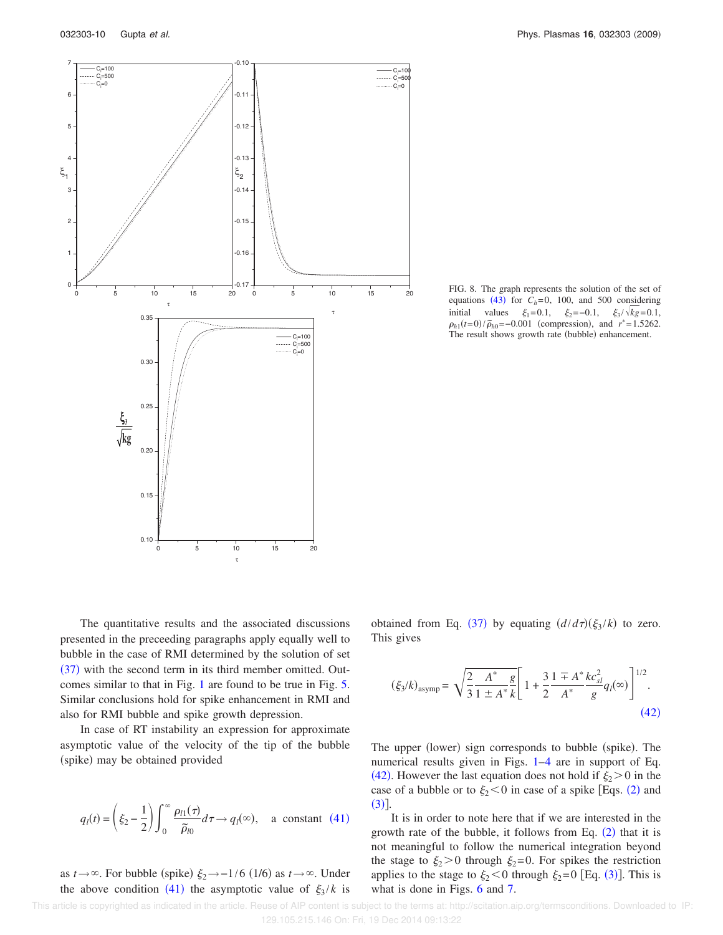

FIG. 8. The graph represents the solution of the set of equations (43) for  $C_h = 0$ , 100, and 500 considering initial values  $\xi_1 = 0.1$ ,  $\xi_2 = -0.1$ ,  $\xi_3 / \sqrt{kg} = 0.1$ ,  $\rho_{h1}(t=0)/\tilde{\rho}_{h0} = -0.001$  (compression), and  $r^* = 1.5262$ . The result shows growth rate (bubble) enhancement.

The quantitative results and the associated discussions presented in the preceeding paragraphs apply equally well to bubble in the case of RMI determined by the solution of set  $(37)$  with the second term in its third member omitted. Outcomes similar to that in Fig. 1 are found to be true in Fig. 5. Similar conclusions hold for spike enhancement in RMI and also for RMI bubble and spike growth depression.

In case of RT instability an expression for approximate asymptotic value of the velocity of the tip of the bubble (spike) may be obtained provided

$$
q_l(t) = \left(\xi_2 - \frac{1}{2}\right) \int_0^\infty \frac{\rho_{l1}(\tau)}{\tilde{\rho}_{l0}} d\tau \to q_l(\infty), \quad \text{a constant} \quad (41)
$$

as *t* →  $\infty$ . For bubble (spike)  $\xi_2 \rightarrow -1/6$  (1/6) as *t* →  $\infty$ . Under the above condition (41) the asymptotic value of  $\xi_3/k$  is

obtained from Eq. (37) by equating  $(d/d\tau)(\xi_3/k)$  to zero. This gives

$$
(\xi_3/k)_{\text{asymp}} = \sqrt{\frac{2}{3} \frac{A^*}{1 \pm A^*} \frac{g}{k}} \left[ 1 + \frac{3}{2} \frac{1 \mp A^*}{A^*} \frac{kc_{sl}^2}{g} q_l(\infty) \right]^{1/2}.
$$
\n(42)

The upper (lower) sign corresponds to bubble (spike). The numerical results given in Figs. 1–4 are in support of Eq. (42). However the last equation does not hold if  $\xi_2 > 0$  in the case of a bubble or to  $\xi_2 < 0$  in case of a spike [Eqs. (2) and  $(3)$ ].

It is in order to note here that if we are interested in the growth rate of the bubble, it follows from Eq.  $(2)$  that it is not meaningful to follow the numerical integration beyond the stage to  $\xi_2$  > 0 through  $\xi_2$ =0. For spikes the restriction applies to the stage to  $\xi_2 < 0$  through  $\xi_2 = 0$  [Eq. (3)]. This is what is done in Figs. 6 and 7.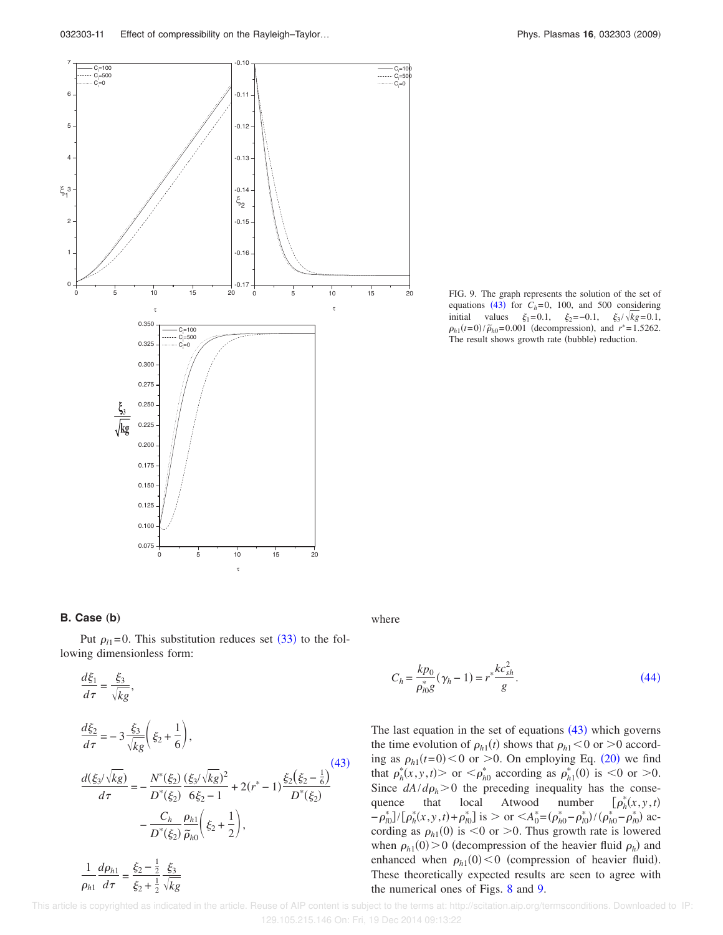FIG. 9. The graph represents the solution of the set of equations (43) for  $C_h = 0$ , 100, and 500 considering initial values  $\xi_1 = 0.1$ ,  $\xi_2 = -0.1$ ,  $\xi_3 / \sqrt{kg} = 0.1$ ,  $\rho_{h1}(t=0)/\tilde{\rho}_{h0} = 0.001$  (decompression), and  $r^* = 1.5262$ . The result shows growth rate (bubble) reduction.



## **B. Case** (**b**)

Put  $\rho_{l1}$ =0. This substitution reduces set (33) to the following dimensionless form:

$$
\frac{d\xi_1}{d\tau} = \frac{\xi_3}{\sqrt{kg}},
$$
\n
$$
\frac{d\xi_2}{d\tau} = -3 \frac{\xi_3}{\sqrt{kg}} \left( \xi_2 + \frac{1}{6} \right),
$$
\n
$$
\frac{d(\xi_3/\sqrt{kg})}{d\tau} = -\frac{N^*(\xi_2)}{D^*(\xi_2)} \frac{(\xi_3/\sqrt{kg})^2}{6\xi_2 - 1} + 2(r^* - 1) \frac{\xi_2(\xi_2 - \frac{1}{6})}{D^*(\xi_2)} -\frac{C_h}{D^*(\xi_2)} \frac{\rho_{h1}}{\tilde{\rho}_{h0}} \left( \xi_2 + \frac{1}{2} \right),
$$
\n
$$
\frac{1}{\rho_{h1}} \frac{d\rho_{h1}}{d\tau} = \frac{\xi_2 - \frac{1}{2}}{\xi_2 + \frac{1}{2}} \frac{\xi_3}{\sqrt{kg}}
$$
\n(43)

where

$$
C_h = \frac{k p_0}{\rho_{l0}^*} (\gamma_h - 1) = r^* \frac{k c_{sh}^2}{g}.
$$
\n(44)

The last equation in the set of equations  $(43)$  which governs the time evolution of  $\rho_{h1}(t)$  shows that  $\rho_{h1} < 0$  or  $> 0$  according as  $\rho_{h1}(t=0) < 0$  or  $> 0$ . On employing Eq. (20) we find that  $\rho_h^*(x, y, t) >$  or  $\langle \rho_{h0}^* \text{ according as } \rho_{h1}^*(0) \text{ is } \langle 0 \text{ or } > 0.$ Since  $dA/d\rho_h > 0$  the preceding inequality has the consequence that local Atwood number  $\lceil \rho_h^*(x, y, t) \rceil$ local Atwood  $\chi_h^*(x, y, t)$  $-\rho_{l0}^*$ ]/ $[\rho_h^*(x, y, t) + \rho_{l0}^*]$  is > or  $\langle A_0^* = (\rho_{h0}^* - \rho_{l0}^*) / (\rho_{h0}^* - \rho_{l0}^*)$  according as  $\rho_{h1}(0)$  is  $\leq 0$  or  $\geq 0$ . Thus growth rate is lowered when  $\rho_{h1}(0) > 0$  (decompression of the heavier fluid  $\rho_h$ ) and enhanced when  $\rho_{h1}(0) < 0$  (compression of heavier fluid). These theoretically expected results are seen to agree with the numerical ones of Figs. 8 and 9.